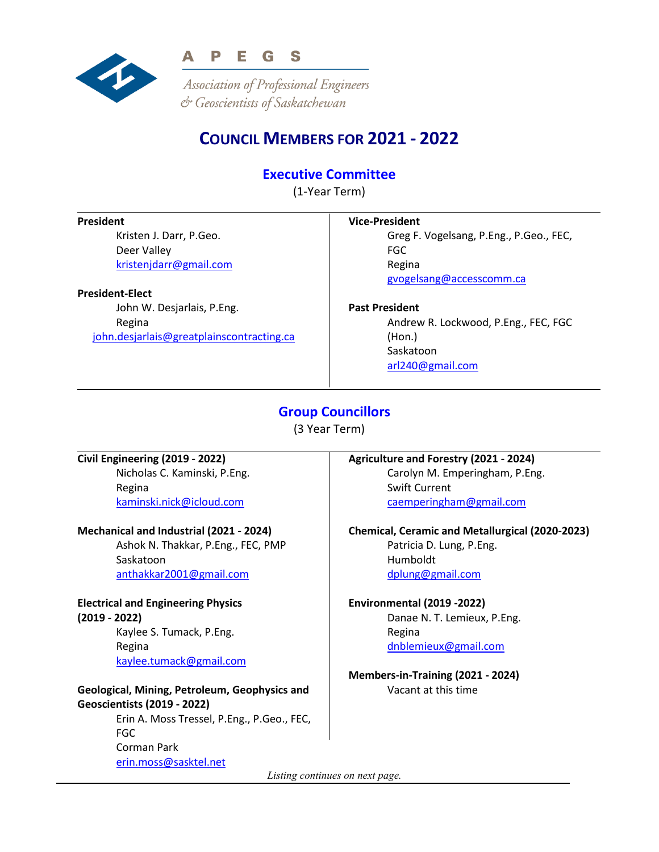

Association of Professional Engineers & Geoscientists of Saskatchewan

# **COUNCIL MEMBERS FOR 2021 - 2022**

## **Executive Committee**

(1-Year Term)

#### **President**

Kristen J. Darr, P.Geo. Deer Valley [kristenjdarr@gmail.com](mailto:kristenjdarr@gmail.com)

#### **President-Elect**

John W. Desjarlais, P.Eng. Regina [john.desjarlais@greatplainscontracting.ca](mailto:john.desjarlais@greatplainscontracting.ca)

#### **Vice-President**

Greg F. Vogelsang, P.Eng., P.Geo., FEC, FGC Regina [gvogelsang@accesscomm.ca](mailto:gvogelsang@accesscomm.ca)

#### **Past President**

Andrew R. Lockwood, P.Eng., FEC, FGC (Hon.) Saskatoon [arl240@gmail.com](mailto:arl240@gmail.com)

## **Group Councillors**

(3 Year Term)

## **Civil Engineering (2019 - 2022)**

Nicholas C. Kaminski, P.Eng. Regina [kaminski.nick@icloud.com](mailto:kaminski.nick@icloud.com)

#### **Mechanical and Industrial (2021 - 2024)**

Ashok N. Thakkar, P.Eng., FEC, PMP Saskatoon [anthakkar2001@gmail.com](mailto:anthakkar2001@gmail.com)

## **Electrical and Engineering Physics**

**(2019 - 2022)** Kaylee S. Tumack, P.Eng. Regina [kaylee.tumack@gmail.com](mailto:kaylee.tumack@gmail.com)

#### **Geological, Mining, Petroleum, Geophysics and Geoscientists (2019 - 2022)**

Erin A. Moss Tressel, P.Eng., P.Geo., FEC, FGC Corman Park [erin.moss@sasktel.net](mailto:erin.moss@sasktel.net)

## **Agriculture and Forestry (2021 - 2024)**

Carolyn M. Emperingham, P.Eng. Swift Current [caemperingham@gmail.com](mailto:caemperingham@gmail.com)

#### **Chemical, Ceramic and Metallurgical (2020-2023)**

Patricia D. Lung, P.Eng. Humboldt [dplung@gmail.com](mailto:dplung@gmail.com)

#### **Environmental (2019 -2022)**

Danae N. T. Lemieux, P.Eng. Regina [dnblemieux@gmail.com](mailto:dnblemieux@gmail.com)

**Members-in-Training (2021 - 2024)** Vacant at this time

*Listing continues on next page.*